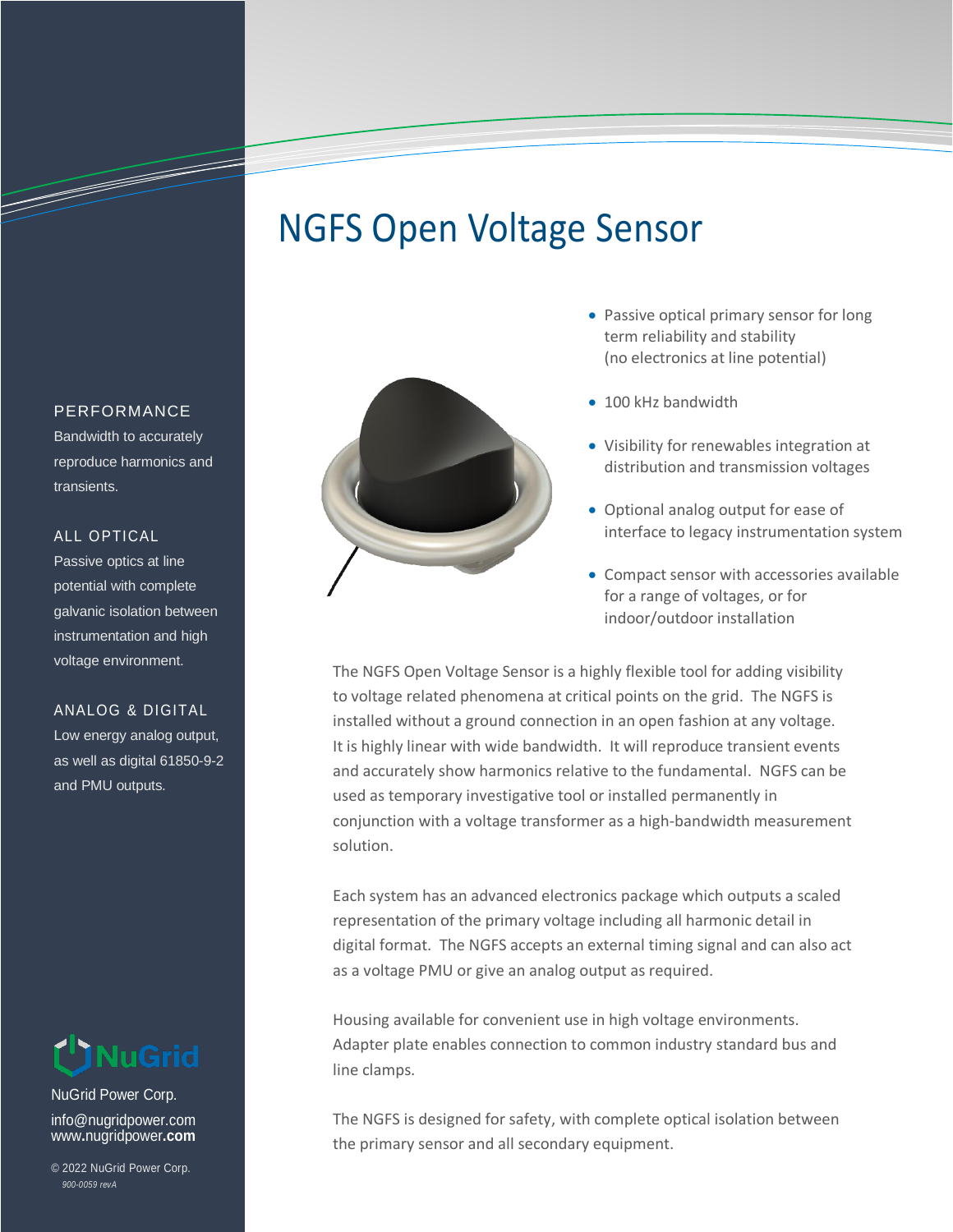# NGFS Open Voltage Sensor



- Passive optical primary sensor for long term reliability and stability (no electronics at line potential)
- 100 kHz bandwidth
- Visibility for renewables integration at distribution and transmission voltages
- Optional analog output for ease of interface to legacy instrumentation system
- Compact sensor with accessories available for a range of voltages, or for indoor/outdoor installation

The NGFS Open Voltage Sensor is a highly flexible tool for adding visibility to voltage related phenomena at critical points on the grid. The NGFS is installed without a ground connection in an open fashion at any voltage. It is highly linear with wide bandwidth. It will reproduce transient events and accurately show harmonics relative to the fundamental. NGFS can be used as temporary investigative tool or installed permanently in conjunction with a voltage transformer as a high-bandwidth measurement solution.

Each system has an advanced electronics package which outputs a scaled representation of the primary voltage including all harmonic detail in digital format. The NGFS accepts an external timing signal and can also act as a voltage PMU or give an analog output as required.

Housing available for convenient use in high voltage environments. Adapter plate enables connection to common industry standard bus and line clamps.

The NGFS is designed for safety, with complete optical isolation between the primary sensor and all secondary equipment.

#### PERFORMANCE

a de de la companya de la companya de la companya de la companya de la companya de la companya de la companya

Bandwidth to accurately reproduce harmonics and transients.

## ALL OPTICAL

Passive optics at line potential with complete galvanic isolation between instrumentation and high voltage environment.

### ANALOG & DIGITAL

Low energy analog output, as well as digital 61850-9-2 and PMU outputs.



NuGrid Power Corp. info@nugridpower.com www**.**nugridpower**.com**

© 2022 NuGrid Power Corp. *900-0059 revA*